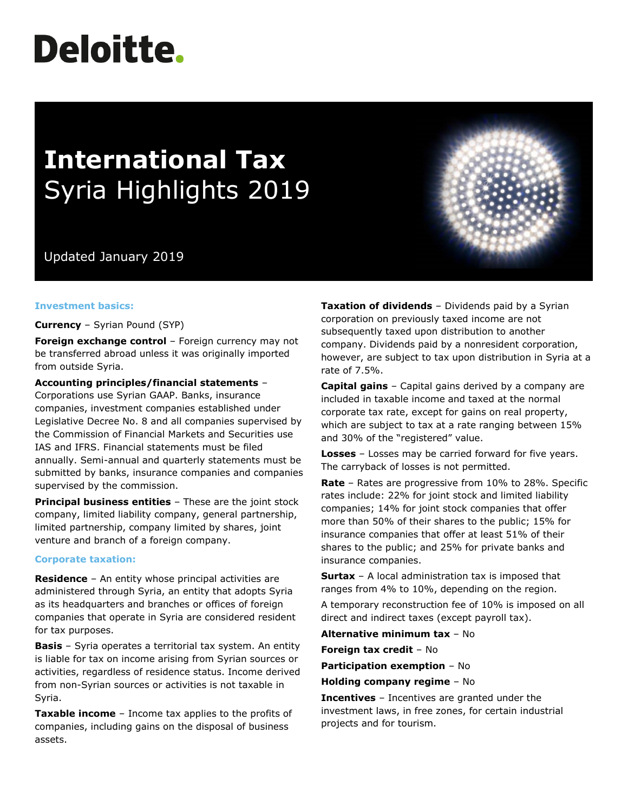# **Deloitte.**

## **International Tax** Syria Highlights 2019

### Updated January 2019

#### **Investment basics:**

#### **Currency** – Syrian Pound (SYP)

**Foreign exchange control** – Foreign currency may not be transferred abroad unless it was originally imported from outside Syria.

#### **Accounting principles/financial statements** –

Corporations use Syrian GAAP. Banks, insurance companies, investment companies established under Legislative Decree No. 8 and all companies supervised by the Commission of Financial Markets and Securities use IAS and IFRS. Financial statements must be filed annually. Semi-annual and quarterly statements must be submitted by banks, insurance companies and companies supervised by the commission.

**Principal business entities** – These are the joint stock company, limited liability company, general partnership, limited partnership, company limited by shares, joint venture and branch of a foreign company.

#### **Corporate taxation:**

**Residence** – An entity whose principal activities are administered through Syria, an entity that adopts Syria as its headquarters and branches or offices of foreign companies that operate in Syria are considered resident for tax purposes.

**Basis** – Syria operates a territorial tax system. An entity is liable for tax on income arising from Syrian sources or activities, regardless of residence status. Income derived from non-Syrian sources or activities is not taxable in Syria.

**Taxable income** – Income tax applies to the profits of companies, including gains on the disposal of business assets.

**Taxation of dividends** – Dividends paid by a Syrian corporation on previously taxed income are not subsequently taxed upon distribution to another company. Dividends paid by a nonresident corporation, however, are subject to tax upon distribution in Syria at a rate of 7.5%.

**Capital gains** – Capital gains derived by a company are included in taxable income and taxed at the normal corporate tax rate, except for gains on real property, which are subject to tax at a rate ranging between 15% and 30% of the "registered" value.

**Losses** – Losses may be carried forward for five years. The carryback of losses is not permitted.

**Rate** – Rates are progressive from 10% to 28%. Specific rates include: 22% for joint stock and limited liability companies; 14% for joint stock companies that offer more than 50% of their shares to the public; 15% for insurance companies that offer at least 51% of their shares to the public; and 25% for private banks and insurance companies.

**Surtax** – A local administration tax is imposed that ranges from 4% to 10%, depending on the region.

A temporary reconstruction fee of 10% is imposed on all direct and indirect taxes (except payroll tax).

**Alternative minimum tax** – No

**Foreign tax credit** – No

**Participation exemption** – No

**Holding company regime** – No

**Incentives** – Incentives are granted under the investment laws, in free zones, for certain industrial projects and for tourism.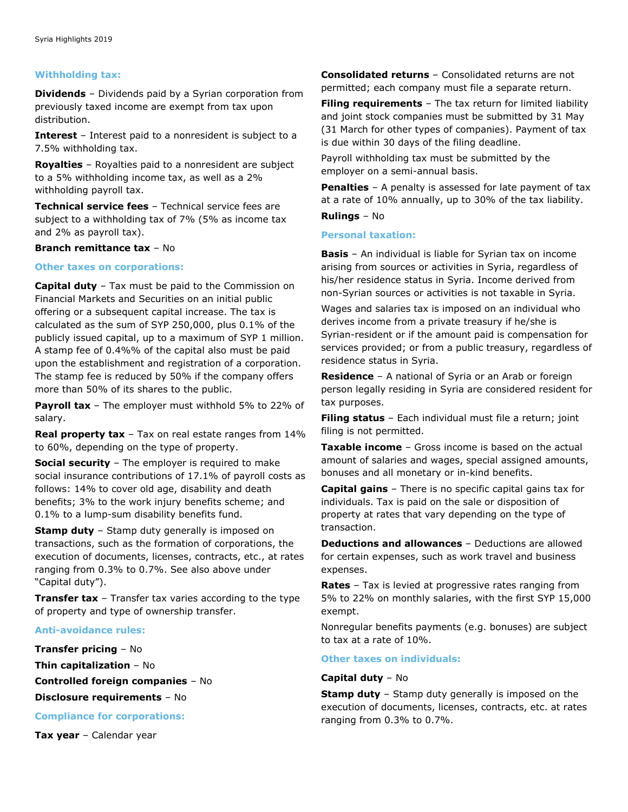#### **Withholding tax:**

**Dividends** – Dividends paid by a Syrian corporation from previously taxed income are exempt from tax upon distribution.

**Interest** – Interest paid to a nonresident is subject to a 7.5% withholding tax.

**Royalties** – Royalties paid to a nonresident are subject to a 5% withholding income tax, as well as a 2% withholding payroll tax.

**Technical service fees** – Technical service fees are subject to a withholding tax of 7% (5% as income tax and 2% as payroll tax).

#### **Branch remittance tax** – No

#### **Other taxes on corporations:**

**Capital duty** – Tax must be paid to the Commission on Financial Markets and Securities on an initial public offering or a subsequent capital increase. The tax is calculated as the sum of SYP 250,000, plus 0.1% of the publicly issued capital, up to a maximum of SYP 1 million. A stamp fee of 0.4%% of the capital also must be paid upon the establishment and registration of a corporation. The stamp fee is reduced by 50% if the company offers more than 50% of its shares to the public.

**Payroll tax** – The employer must withhold 5% to 22% of salary.

**Real property tax** – Tax on real estate ranges from 14% to 60%, depending on the type of property.

**Social security** – The employer is required to make social insurance contributions of 17.1% of payroll costs as follows: 14% to cover old age, disability and death benefits; 3% to the work injury benefits scheme; and 0.1% to a lump-sum disability benefits fund.

**Stamp duty** – Stamp duty generally is imposed on transactions, such as the formation of corporations, the execution of documents, licenses, contracts, etc., at rates ranging from 0.3% to 0.7%. See also above under "Capital duty").

**Transfer tax** – Transfer tax varies according to the type of property and type of ownership transfer.

#### **Anti-avoidance rules:**

**Transfer pricing** – No **Thin capitalization** – No **Controlled foreign companies** – No **Disclosure requirements** – No

**Compliance for corporations:**

**Tax year** – Calendar year

**Consolidated returns** – Consolidated returns are not permitted; each company must file a separate return.

**Filing requirements** - The tax return for limited liability and joint stock companies must be submitted by 31 May (31 March for other types of companies). Payment of tax is due within 30 days of the filing deadline.

Payroll withholding tax must be submitted by the employer on a semi-annual basis.

**Penalties** – A penalty is assessed for late payment of tax at a rate of 10% annually, up to 30% of the tax liability. **Rulings** – No

#### **Personal taxation:**

**Basis** – An individual is liable for Syrian tax on income arising from sources or activities in Syria, regardless of his/her residence status in Syria. Income derived from non-Syrian sources or activities is not taxable in Syria.

Wages and salaries tax is imposed on an individual who derives income from a private treasury if he/she is Syrian-resident or if the amount paid is compensation for services provided; or from a public treasury, regardless of residence status in Syria.

**Residence** – A national of Syria or an Arab or foreign person legally residing in Syria are considered resident for tax purposes.

**Filing status** – Each individual must file a return; joint filing is not permitted.

**Taxable income** – Gross income is based on the actual amount of salaries and wages, special assigned amounts, bonuses and all monetary or in-kind benefits.

**Capital gains** – There is no specific capital gains tax for individuals. Tax is paid on the sale or disposition of property at rates that vary depending on the type of transaction.

**Deductions and allowances** – Deductions are allowed for certain expenses, such as work travel and business expenses.

**Rates** – Tax is levied at progressive rates ranging from 5% to 22% on monthly salaries, with the first SYP 15,000 exempt.

Nonregular benefits payments (e.g. bonuses) are subject to tax at a rate of 10%.

#### **Other taxes on individuals:**

#### **Capital duty** – No

**Stamp duty** - Stamp duty generally is imposed on the execution of documents, licenses, contracts, etc. at rates ranging from 0.3% to 0.7%.